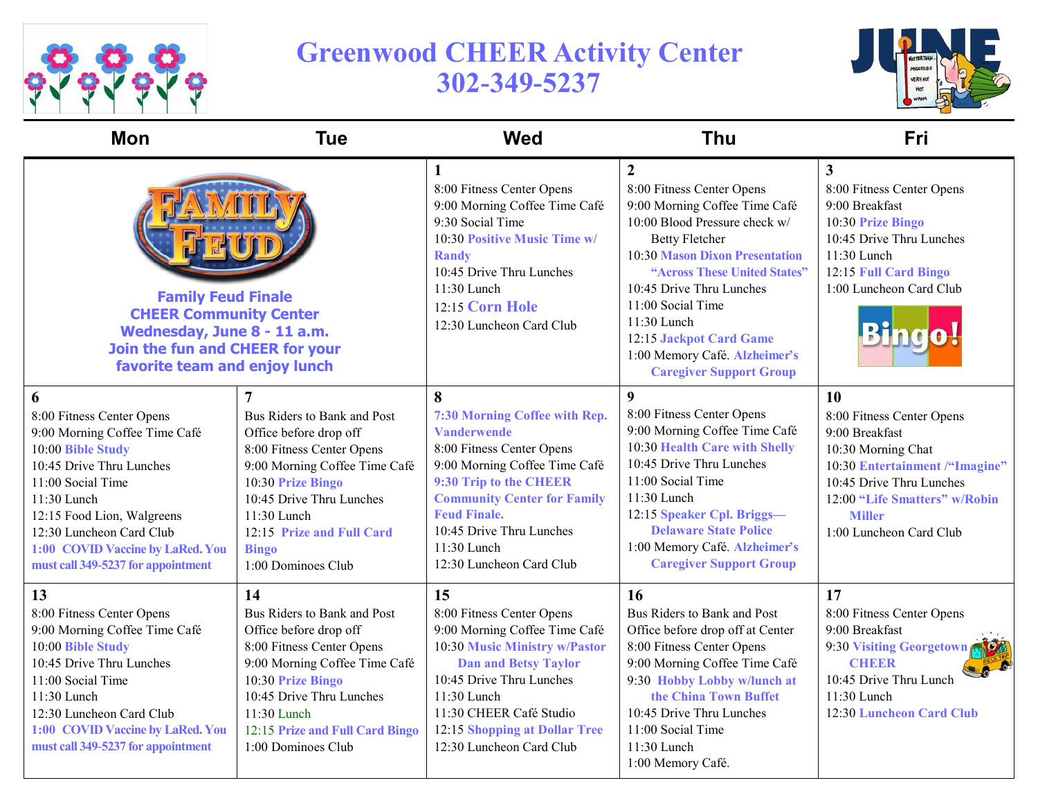

## **Greenwood CHEER Activity Center 302-349-5237**



| <b>Mon</b>                                                                                                                                                                                                                                                                               | <b>Tue</b>                                                                                                                                                                                                                                               | <b>Wed</b>                                                                                                                                                                                                                                                                           | <b>Thu</b>                                                                                                                                                                                                                                                                                                                                                                      | Fri                                                                                                                                                                                                                |
|------------------------------------------------------------------------------------------------------------------------------------------------------------------------------------------------------------------------------------------------------------------------------------------|----------------------------------------------------------------------------------------------------------------------------------------------------------------------------------------------------------------------------------------------------------|--------------------------------------------------------------------------------------------------------------------------------------------------------------------------------------------------------------------------------------------------------------------------------------|---------------------------------------------------------------------------------------------------------------------------------------------------------------------------------------------------------------------------------------------------------------------------------------------------------------------------------------------------------------------------------|--------------------------------------------------------------------------------------------------------------------------------------------------------------------------------------------------------------------|
| <b>Family Feud Finale</b><br><b>CHEER Community Center</b><br>Wednesday, June 8 - 11 a.m.<br>Join the fun and CHEER for your<br>favorite team and enjoy lunch                                                                                                                            |                                                                                                                                                                                                                                                          | 1<br>8:00 Fitness Center Opens<br>9:00 Morning Coffee Time Café<br>9:30 Social Time<br>10:30 Positive Music Time w/<br><b>Randy</b><br>10:45 Drive Thru Lunches<br>11:30 Lunch<br>12:15 Corn Hole<br>12:30 Luncheon Card Club                                                        | $\overline{2}$<br>8:00 Fitness Center Opens<br>9:00 Morning Coffee Time Café<br>10:00 Blood Pressure check w/<br><b>Betty Fletcher</b><br><b>10:30 Mason Dixon Presentation</b><br>"Across These United States"<br>10:45 Drive Thru Lunches<br>11:00 Social Time<br>$11:30$ Lunch<br>12:15 Jackpot Card Game<br>1:00 Memory Café. Alzheimer's<br><b>Caregiver Support Group</b> | $\mathbf{3}$<br>8:00 Fitness Center Opens<br>9:00 Breakfast<br>10:30 Prize Bingo<br>10:45 Drive Thru Lunches<br>11:30 Lunch<br>12:15 Full Card Bingo<br>1:00 Luncheon Card Club                                    |
| 6<br>8:00 Fitness Center Opens<br>9:00 Morning Coffee Time Café<br>10:00 Bible Study<br>10:45 Drive Thru Lunches<br>11:00 Social Time<br>11:30 Lunch<br>12:15 Food Lion, Walgreens<br>12:30 Luncheon Card Club<br>1:00 COVID Vaccine by LaRed. You<br>must call 349-5237 for appointment | Bus Riders to Bank and Post<br>Office before drop off<br>8:00 Fitness Center Opens<br>9:00 Morning Coffee Time Café<br>10:30 Prize Bingo<br>10:45 Drive Thru Lunches<br>$11:30$ Lunch<br>12:15 Prize and Full Card<br><b>Bingo</b><br>1:00 Dominoes Club | 8<br>7:30 Morning Coffee with Rep.<br><b>Vanderwende</b><br>8:00 Fitness Center Opens<br>9:00 Morning Coffee Time Café<br>9:30 Trip to the CHEER<br><b>Community Center for Family</b><br><b>Feud Finale.</b><br>10:45 Drive Thru Lunches<br>11:30 Lunch<br>12:30 Luncheon Card Club | $\boldsymbol{9}$<br>8:00 Fitness Center Opens<br>9:00 Morning Coffee Time Café<br>10:30 Health Care with Shelly<br>10:45 Drive Thru Lunches<br>11:00 Social Time<br>11:30 Lunch<br>12:15 Speaker Cpl. Briggs-<br><b>Delaware State Police</b><br>1:00 Memory Café. Alzheimer's<br><b>Caregiver Support Group</b>                                                                | 10<br>8:00 Fitness Center Opens<br>9:00 Breakfast<br>10:30 Morning Chat<br>10:30 Entertainment /"Imagine"<br>10:45 Drive Thru Lunches<br>12:00 "Life Smatters" w/Robin<br><b>Miller</b><br>1:00 Luncheon Card Club |
| 13<br>8:00 Fitness Center Opens<br>9:00 Morning Coffee Time Café<br>10:00 Bible Study<br>10:45 Drive Thru Lunches<br>11:00 Social Time<br>11:30 Lunch<br>12:30 Luncheon Card Club<br>1:00 COVID Vaccine by LaRed. You<br>must call 349-5237 for appointment                              | 14<br>Bus Riders to Bank and Post<br>Office before drop off<br>8:00 Fitness Center Opens<br>9:00 Morning Coffee Time Café<br>10:30 Prize Bingo<br>10:45 Drive Thru Lunches<br>11:30 Lunch<br>12:15 Prize and Full Card Bingo<br>1:00 Dominoes Club       | 15<br>8:00 Fitness Center Opens<br>9:00 Morning Coffee Time Café<br>10:30 Music Ministry w/Pastor<br><b>Dan and Betsy Taylor</b><br>10:45 Drive Thru Lunches<br>11:30 Lunch<br>11:30 CHEER Café Studio<br>12:15 Shopping at Dollar Tree<br>12:30 Luncheon Card Club                  | 16<br>Bus Riders to Bank and Post<br>Office before drop off at Center<br>8:00 Fitness Center Opens<br>9:00 Morning Coffee Time Café<br>9:30 Hobby Lobby w/lunch at<br>the China Town Buffet<br>10:45 Drive Thru Lunches<br>11:00 Social Time<br>11:30 Lunch<br>1:00 Memory Café.                                                                                                | 17<br>8:00 Fitness Center Opens<br>9:00 Breakfast<br>9:30 Visiting Georgetown<br><b>CHEER</b><br>10:45 Drive Thru Lunch<br>11:30 Lunch<br>12:30 Luncheon Card Club                                                 |